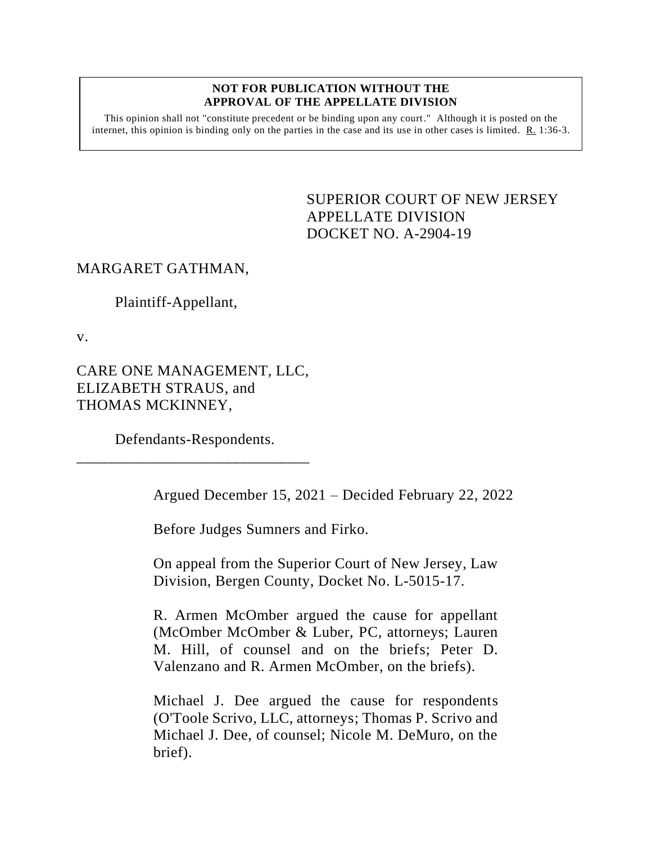#### **NOT FOR PUBLICATION WITHOUT THE APPROVAL OF THE APPELLATE DIVISION**

This opinion shall not "constitute precedent or be binding upon any court." Although it is posted on the internet, this opinion is binding only on the parties in the case and its use in other cases is limited.  $R_1$  1:36-3.

> <span id="page-0-0"></span>SUPERIOR COURT OF NEW JERSEY APPELLATE DIVISION DOCKET NO. A-2904-19

# MARGARET GATHMAN,

Plaintiff-Appellant,

v.

CARE ONE MANAGEMENT, LLC, ELIZABETH STRAUS, and THOMAS MCKINNEY,

Defendants-Respondents. \_\_\_\_\_\_\_\_\_\_\_\_\_\_\_\_\_\_\_\_\_\_\_\_\_\_\_\_\_\_

Argued December 15, 2021 – Decided February 22, 2022

Before Judges Sumners and Firko.

On appeal from the Superior Court of New Jersey, Law Division, Bergen County, Docket No. L-5015-17.

R. Armen McOmber argued the cause for appellant (McOmber McOmber & Luber, PC, attorneys; Lauren M. Hill, of counsel and on the briefs; Peter D. Valenzano and R. Armen McOmber, on the briefs).

Michael J. Dee argued the cause for respondents (O'Toole Scrivo, LLC, attorneys; Thomas P. Scrivo and Michael J. Dee, of counsel; Nicole M. DeMuro, on the brief).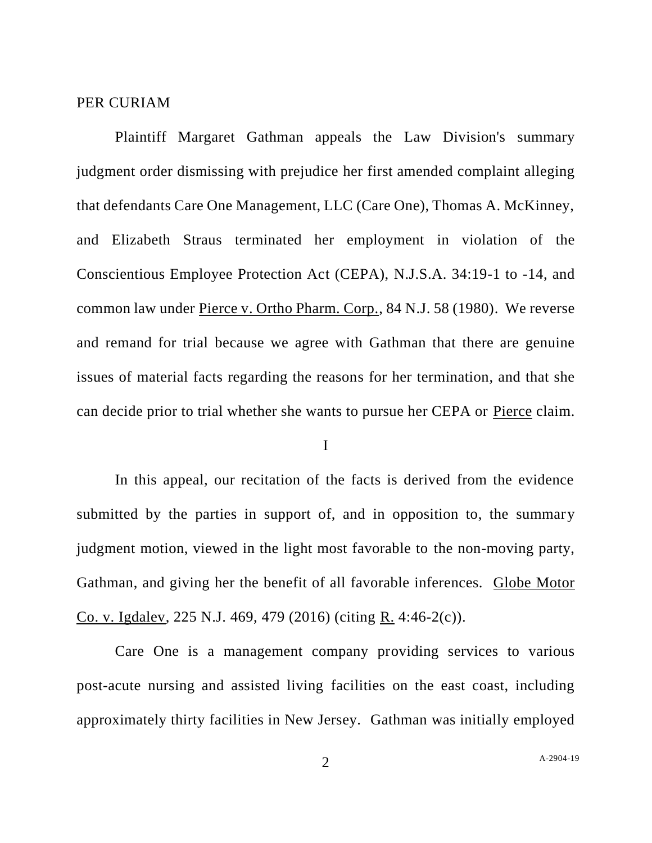### PER CURIAM

Plaintiff Margaret Gathman appeals the Law Division's summary judgment order dismissing with prejudice her first amended complaint alleging that defendants Care One Management, LLC (Care One), Thomas A. McKinney, and Elizabeth Straus terminated her employment in violation of the Conscientious Employee Protection Act (CEPA), N.J.S.A. 34:19-1 to -14, and common law under Pierce v. Ortho Pharm. Corp., 84 N.J. 58 (1980). We reverse and remand for trial because we agree with Gathman that there are genuine issues of material facts regarding the reasons for her termination, and that she can decide prior to trial whether she wants to pursue her CEPA or Pierce claim.

#### I

In this appeal, our recitation of the facts is derived from the evidence submitted by the parties in support of, and in opposition to, the summary judgment motion, viewed in the light most favorable to the non-moving party, Gathman, and giving her the benefit of all favorable inferences. Globe Motor Co. v. Igdalev, 225 N.J. 469, 479 (2016) (citing R. 4:46-2(c)).

Care One is a management company providing services to various post-acute nursing and assisted living facilities on the east coast, including approximately thirty facilities in New Jersey. Gathman was initially employed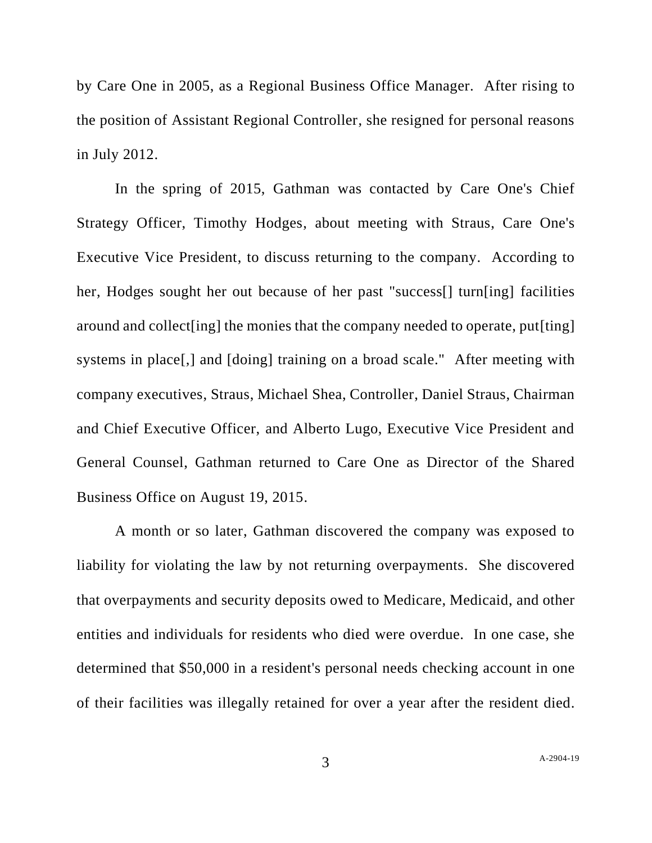by Care One in 2005, as a Regional Business Office Manager. After rising to the position of Assistant Regional Controller, she resigned for personal reasons in July 2012.

In the spring of 2015, Gathman was contacted by Care One's Chief Strategy Officer, Timothy Hodges, about meeting with Straus, Care One's Executive Vice President, to discuss returning to the company. According to her, Hodges sought her out because of her past "success[] turn[ing] facilities around and collect[ing] the monies that the company needed to operate, put[ting] systems in place[,] and [doing] training on a broad scale." After meeting with company executives, Straus, Michael Shea, Controller, Daniel Straus, Chairman and Chief Executive Officer, and Alberto Lugo, Executive Vice President and General Counsel, Gathman returned to Care One as Director of the Shared Business Office on August 19, 2015.

A month or so later, Gathman discovered the company was exposed to liability for violating the law by not returning overpayments. She discovered that overpayments and security deposits owed to Medicare, Medicaid, and other entities and individuals for residents who died were overdue. In one case, she determined that \$50,000 in a resident's personal needs checking account in one of their facilities was illegally retained for over a year after the resident died.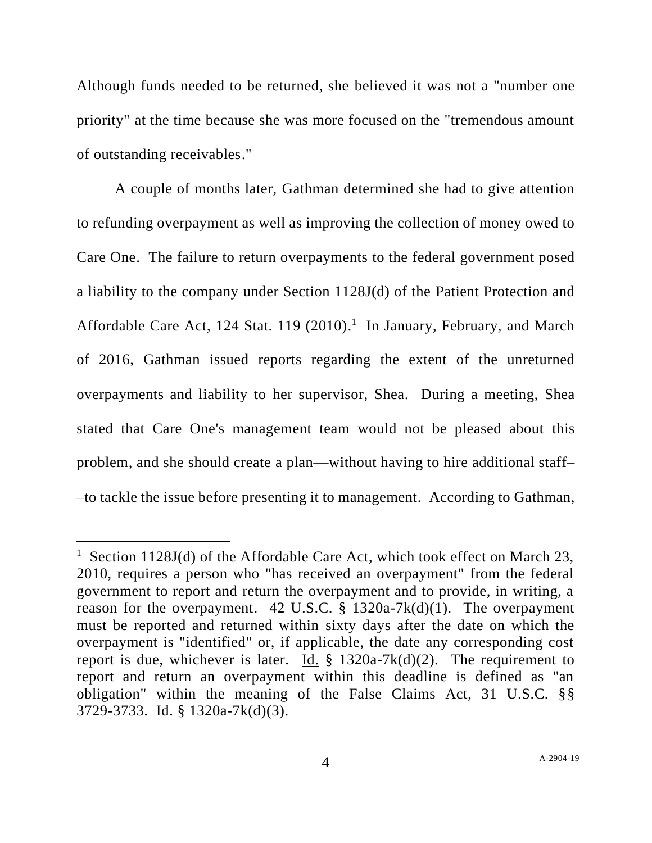Although funds needed to be returned, she believed it was not a "number one priority" at the time because she was more focused on the "tremendous amount of outstanding receivables."

A couple of months later, Gathman determined she had to give attention to refunding overpayment as well as improving the collection of money owed to Care One. The failure to return overpayments to the federal government posed a liability to the company under Section 1128J(d) of the Patient Protection and Affordable Care Act, 124 Stat. 119 (2010).<sup>1</sup> In January, February, and March of 2016, Gathman issued reports regarding the extent of the unreturned overpayments and liability to her supervisor, Shea. During a meeting, Shea stated that Care One's management team would not be pleased about this problem, and she should create a plan––without having to hire additional staff– –to tackle the issue before presenting it to management. According to Gathman,

<sup>&</sup>lt;sup>1</sup> Section 1128J(d) of the Affordable Care Act, which took effect on March 23, 2010, requires a person who "has received an overpayment" from the federal government to report and return the overpayment and to provide, in writing, a reason for the overpayment. 42 U.S.C.  $\S$  1320a-7k(d)(1). The overpayment must be reported and returned within sixty days after the date on which the overpayment is "identified" or, if applicable, the date any corresponding cost report is due, whichever is later. Id.  $\S$  1320a-7k(d)(2). The requirement to report and return an overpayment within this deadline is defined as "an obligation" within the meaning of the False Claims Act, 31 U.S.C. §§ 3729-3733. Id. § 1320a-7k(d)(3).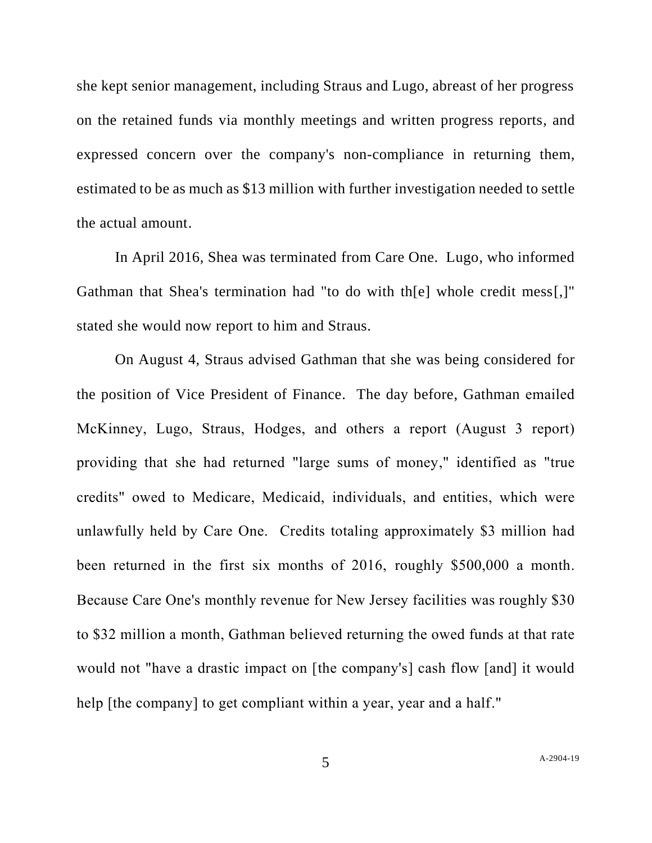she kept senior management, including Straus and Lugo, abreast of her progress on the retained funds via monthly meetings and written progress reports, and expressed concern over the company's non-compliance in returning them, estimated to be as much as \$13 million with further investigation needed to settle the actual amount.

In April 2016, Shea was terminated from Care One. Lugo, who informed Gathman that Shea's termination had "to do with th[e] whole credit mess[,]" stated she would now report to him and Straus.

On August 4, Straus advised Gathman that she was being considered for the position of Vice President of Finance. The day before, Gathman emailed McKinney, Lugo, Straus, Hodges, and others a report (August 3 report) providing that she had returned "large sums of money," identified as "true credits" owed to Medicare, Medicaid, individuals, and entities, which were unlawfully held by Care One. Credits totaling approximately \$3 million had been returned in the first six months of 2016, roughly \$500,000 a month. Because Care One's monthly revenue for New Jersey facilities was roughly \$30 to \$32 million a month, Gathman believed returning the owed funds at that rate would not "have a drastic impact on [the company's] cash flow [and] it would help [the company] to get compliant within a year, year and a half."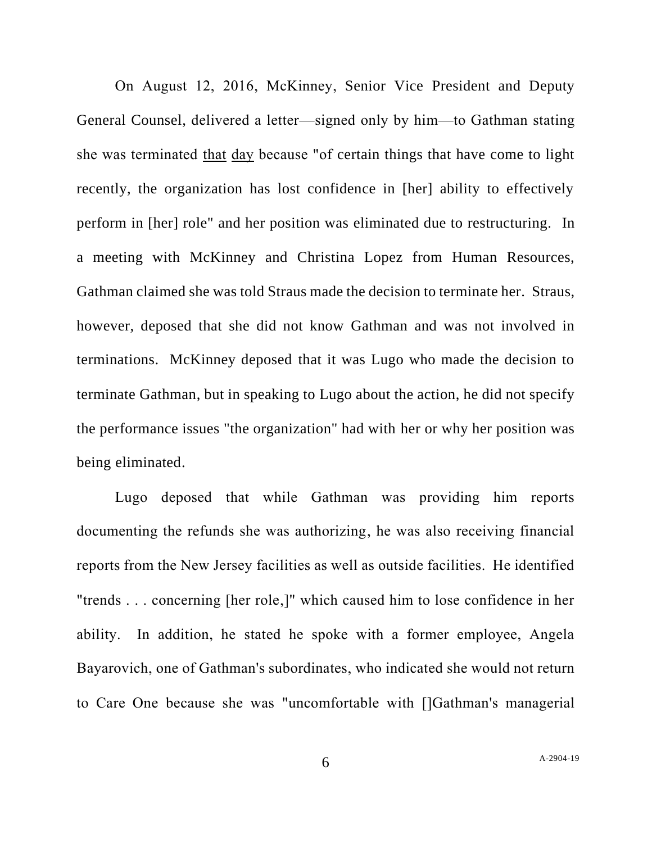On August 12, 2016, McKinney, Senior Vice President and Deputy General Counsel, delivered a letter––signed only by him—to Gathman stating she was terminated that day because "of certain things that have come to light recently, the organization has lost confidence in [her] ability to effectively perform in [her] role" and her position was eliminated due to restructuring. In a meeting with McKinney and Christina Lopez from Human Resources, Gathman claimed she was told Straus made the decision to terminate her. Straus, however, deposed that she did not know Gathman and was not involved in terminations. McKinney deposed that it was Lugo who made the decision to terminate Gathman, but in speaking to Lugo about the action, he did not specify the performance issues "the organization" had with her or why her position was being eliminated.

Lugo deposed that while Gathman was providing him reports documenting the refunds she was authorizing, he was also receiving financial reports from the New Jersey facilities as well as outside facilities. He identified "trends . . . concerning [her role,]" which caused him to lose confidence in her ability. In addition, he stated he spoke with a former employee, Angela Bayarovich, one of Gathman's subordinates, who indicated she would not return to Care One because she was "uncomfortable with []Gathman's managerial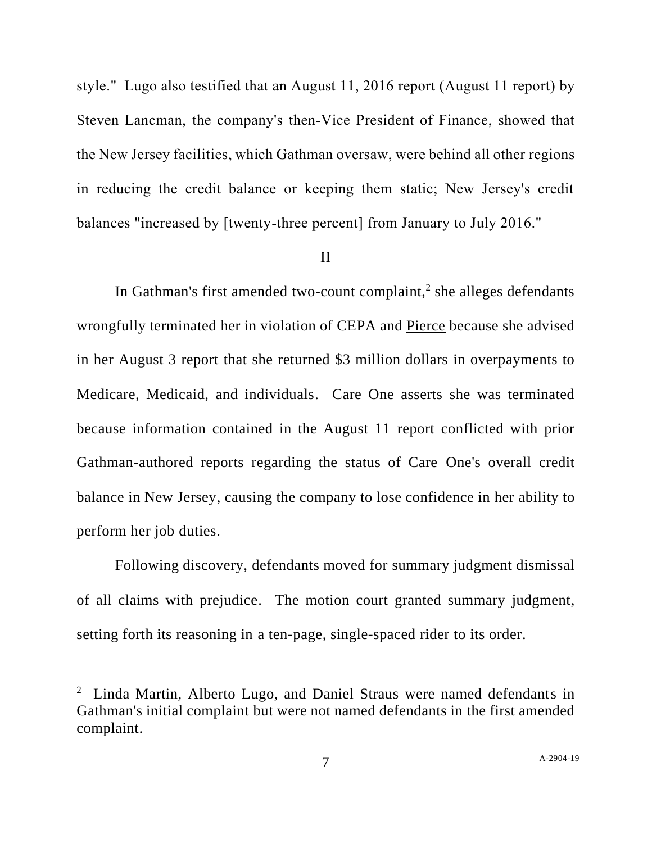style." Lugo also testified that an August 11, 2016 report (August 11 report) by Steven Lancman, the company's then-Vice President of Finance, showed that the New Jersey facilities, which Gathman oversaw, were behind all other regions in reducing the credit balance or keeping them static; New Jersey's credit balances "increased by [twenty-three percent] from January to July 2016."

#### II

In Gathman's first amended two-count complaint, $2$  she alleges defendants wrongfully terminated her in violation of CEPA and Pierce because she advised in her August 3 report that she returned \$3 million dollars in overpayments to Medicare, Medicaid, and individuals. Care One asserts she was terminated because information contained in the August 11 report conflicted with prior Gathman-authored reports regarding the status of Care One's overall credit balance in New Jersey, causing the company to lose confidence in her ability to perform her job duties.

Following discovery, defendants moved for summary judgment dismissal of all claims with prejudice. The motion court granted summary judgment, setting forth its reasoning in a ten-page, single-spaced rider to its order.

<sup>&</sup>lt;sup>2</sup> Linda Martin, Alberto Lugo, and Daniel Straus were named defendants in Gathman's initial complaint but were not named defendants in the first amended complaint.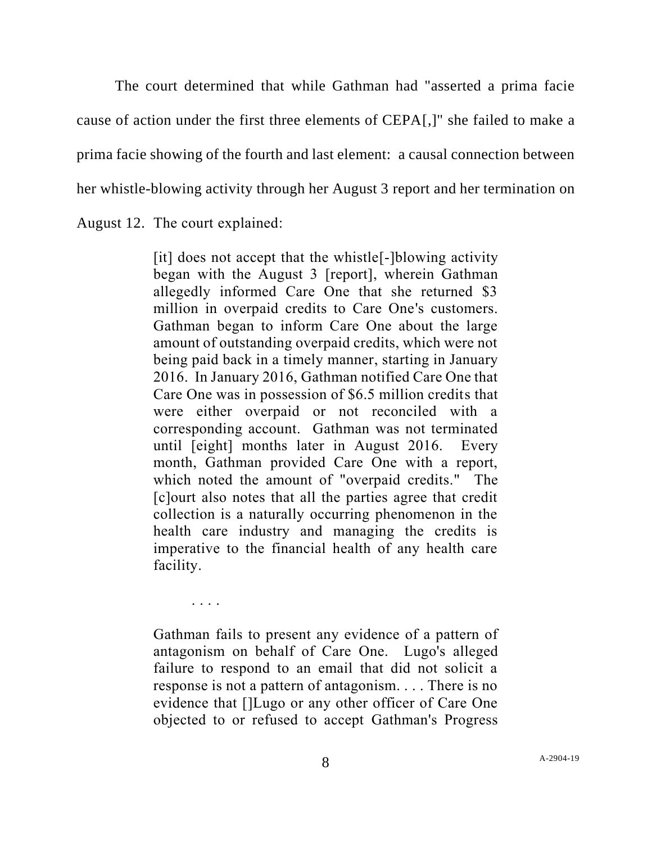The court determined that while Gathman had "asserted a prima facie cause of action under the first three elements of CEPA[,]" she failed to make a prima facie showing of the fourth and last element: a causal connection between her whistle-blowing activity through her August 3 report and her termination on August 12. The court explained:

> [it] does not accept that the whistle[-]blowing activity began with the August 3 [report], wherein Gathman allegedly informed Care One that she returned \$3 million in overpaid credits to Care One's customers. Gathman began to inform Care One about the large amount of outstanding overpaid credits, which were not being paid back in a timely manner, starting in January 2016. In January 2016, Gathman notified Care One that Care One was in possession of \$6.5 million credits that were either overpaid or not reconciled with a corresponding account. Gathman was not terminated until [eight] months later in August 2016. Every month, Gathman provided Care One with a report, which noted the amount of "overpaid credits." The [c]ourt also notes that all the parties agree that credit collection is a naturally occurring phenomenon in the health care industry and managing the credits is imperative to the financial health of any health care facility.

> Gathman fails to present any evidence of a pattern of antagonism on behalf of Care One. Lugo's alleged failure to respond to an email that did not solicit a response is not a pattern of antagonism. . . . There is no evidence that []Lugo or any other officer of Care One objected to or refused to accept Gathman's Progress

. . . .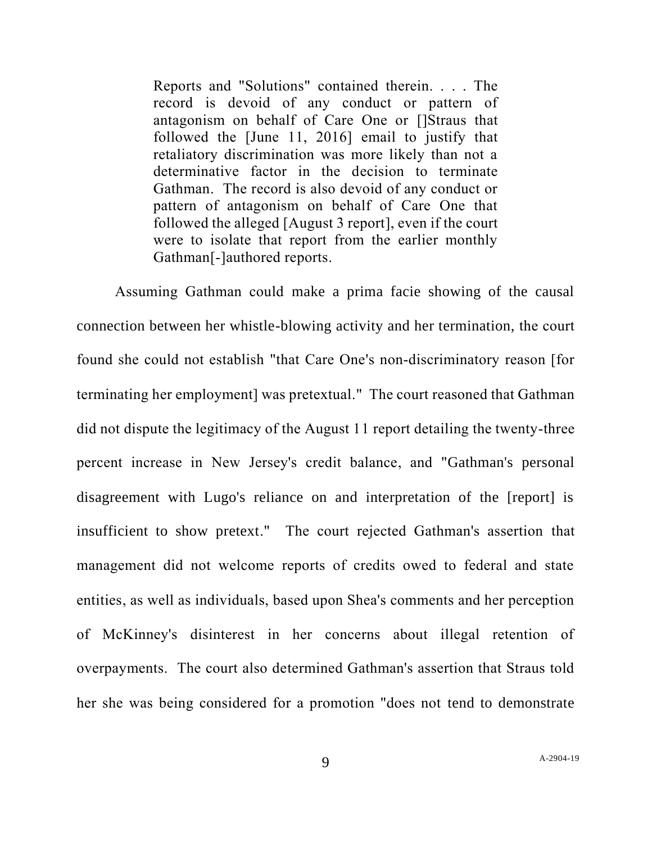Reports and "Solutions" contained therein. . . . The record is devoid of any conduct or pattern of antagonism on behalf of Care One or []Straus that followed the [June 11, 2016] email to justify that retaliatory discrimination was more likely than not a determinative factor in the decision to terminate Gathman. The record is also devoid of any conduct or pattern of antagonism on behalf of Care One that followed the alleged [August 3 report], even if the court were to isolate that report from the earlier monthly Gathman[-]authored reports.

Assuming Gathman could make a prima facie showing of the causal connection between her whistle-blowing activity and her termination, the court found she could not establish "that Care One's non-discriminatory reason [for terminating her employment] was pretextual." The court reasoned that Gathman did not dispute the legitimacy of the August 11 report detailing the twenty-three percent increase in New Jersey's credit balance, and "Gathman's personal disagreement with Lugo's reliance on and interpretation of the [report] is insufficient to show pretext." The court rejected Gathman's assertion that management did not welcome reports of credits owed to federal and state entities, as well as individuals, based upon Shea's comments and her perception of McKinney's disinterest in her concerns about illegal retention of overpayments. The court also determined Gathman's assertion that Straus told her she was being considered for a promotion "does not tend to demonstrate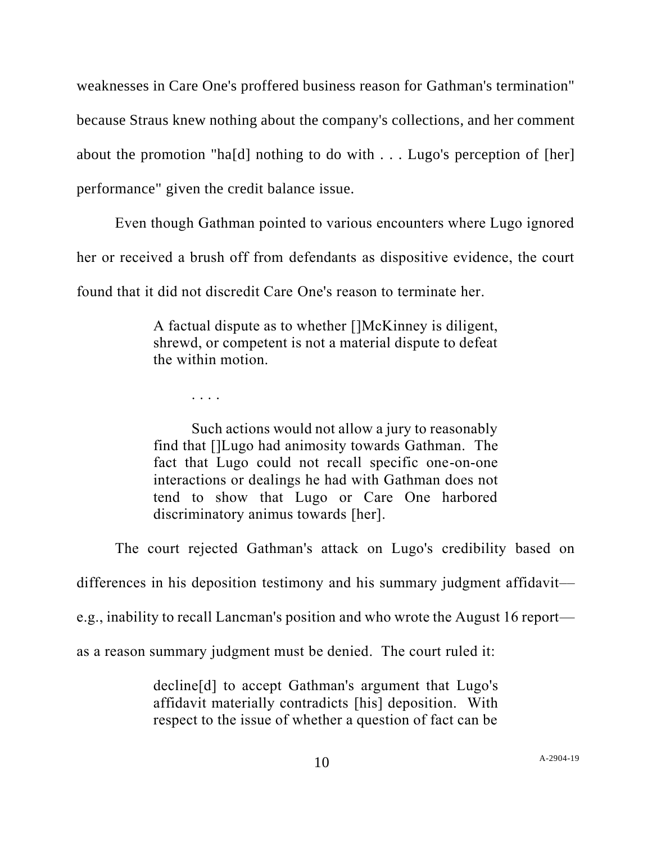weaknesses in Care One's proffered business reason for Gathman's termination" because Straus knew nothing about the company's collections, and her comment about the promotion "ha[d] nothing to do with  $\dots$  Lugo's perception of [her] performance" given the credit balance issue.

Even though Gathman pointed to various encounters where Lugo ignored her or received a brush off from defendants as dispositive evidence, the court found that it did not discredit Care One's reason to terminate her.

> A factual dispute as to whether []McKinney is diligent, shrewd, or competent is not a material dispute to defeat the within motion.

> > . . . .

Such actions would not allow a jury to reasonably find that []Lugo had animosity towards Gathman. The fact that Lugo could not recall specific one-on-one interactions or dealings he had with Gathman does not tend to show that Lugo or Care One harbored discriminatory animus towards [her].

The court rejected Gathman's attack on Lugo's credibility based on

differences in his deposition testimony and his summary judgment affidavit—

e.g., inability to recall Lancman's position and who wrote the August 16 report—

as a reason summary judgment must be denied. The court ruled it:

decline[d] to accept Gathman's argument that Lugo's affidavit materially contradicts [his] deposition. With respect to the issue of whether a question of fact can be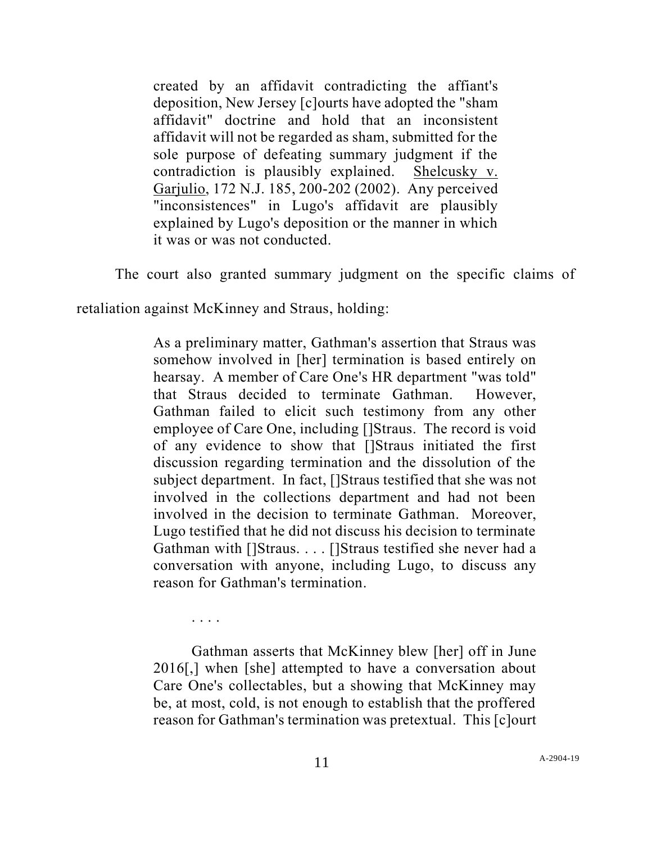created by an affidavit contradicting the affiant's deposition, New Jersey [c]ourts have adopted the "sham affidavit" doctrine and hold that an inconsistent affidavit will not be regarded as sham, submitted for the sole purpose of defeating summary judgment if the contradiction is plausibly explained. Shelcusky v. Garjulio, 172 N.J. 185, 200-202 (2002). Any perceived "inconsistences" in Lugo's affidavit are plausibly explained by Lugo's deposition or the manner in which it was or was not conducted.

The court also granted summary judgment on the specific claims of

retaliation against McKinney and Straus, holding:

. . . .

As a preliminary matter, Gathman's assertion that Straus was somehow involved in [her] termination is based entirely on hearsay. A member of Care One's HR department "was told" that Straus decided to terminate Gathman. However, Gathman failed to elicit such testimony from any other employee of Care One, including []Straus. The record is void of any evidence to show that []Straus initiated the first discussion regarding termination and the dissolution of the subject department. In fact, []Straus testified that she was not involved in the collections department and had not been involved in the decision to terminate Gathman. Moreover, Lugo testified that he did not discuss his decision to terminate Gathman with []Straus. . . . []Straus testified she never had a conversation with anyone, including Lugo, to discuss any reason for Gathman's termination.

Gathman asserts that McKinney blew [her] off in June 2016[,] when [she] attempted to have a conversation about Care One's collectables, but a showing that McKinney may be, at most, cold, is not enough to establish that the proffered reason for Gathman's termination was pretextual. This [c]ourt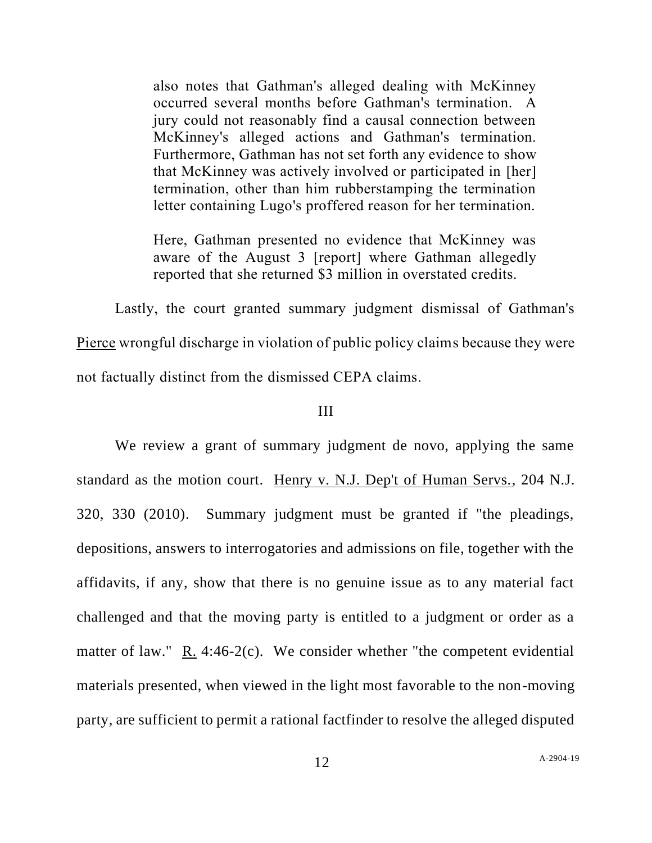also notes that Gathman's alleged dealing with McKinney occurred several months before Gathman's termination. A jury could not reasonably find a causal connection between McKinney's alleged actions and Gathman's termination. Furthermore, Gathman has not set forth any evidence to show that McKinney was actively involved or participated in [her] termination, other than him rubberstamping the termination letter containing Lugo's proffered reason for her termination.

Here, Gathman presented no evidence that McKinney was aware of the August 3 [report] where Gathman allegedly reported that she returned \$3 million in overstated credits.

Lastly, the court granted summary judgment dismissal of Gathman's Pierce wrongful discharge in violation of public policy claims because they were not factually distinct from the dismissed CEPA claims.

## III

We review a grant of summary judgment de novo, applying the same standard as the motion court. Henry v. N.J. Dep't of Human Servs., 204 N.J. 320, 330 (2010). Summary judgment must be granted if "the pleadings, depositions, answers to interrogatories and admissions on file, together with the affidavits, if any, show that there is no genuine issue as to any material fact challenged and that the moving party is entitled to a judgment or order as a matter of law." R. 4:46-2(c). We consider whether "the competent evidential materials presented, when viewed in the light most favorable to the non-moving party, are sufficient to permit a rational factfinder to resolve the alleged disputed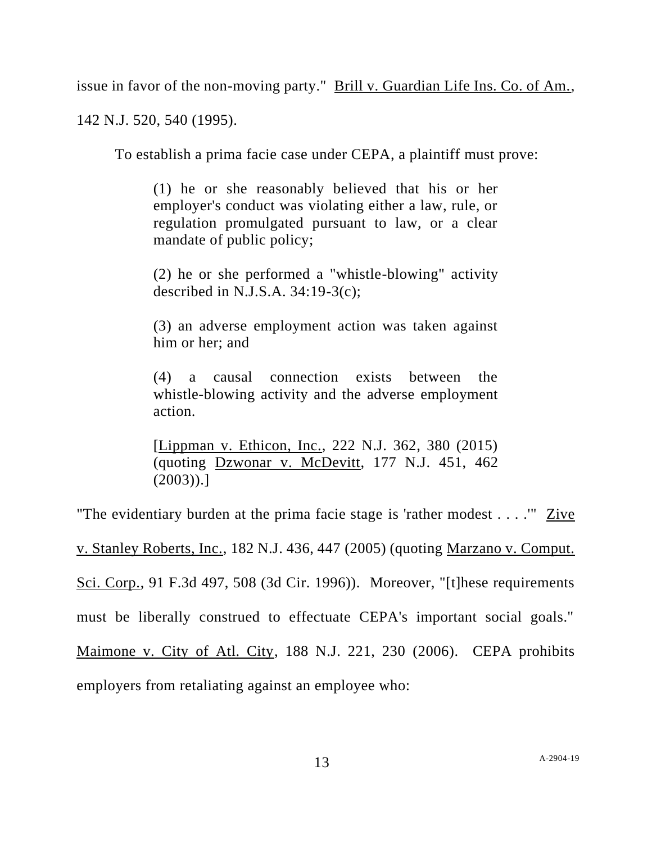issue in favor of the non-moving party." Brill v. Guardian Life Ins. Co. of Am.,

142 N.J. 520, 540 (1995).

To establish a prima facie case under CEPA, a plaintiff must prove:

(1) he or she reasonably believed that his or her employer's conduct was violating either a law, rule, or regulation promulgated pursuant to law, or a clear mandate of public policy;

(2) he or she performed a "whistle-blowing" activity described in N.J.S.A. 34:19-3(c);

(3) an adverse employment action was taken against him or her; and

(4) a causal connection exists between the whistle-blowing activity and the adverse employment action.

[Lippman v. Ethicon, Inc., 222 N.J. 362, 380 (2015) (quoting Dzwonar v. McDevitt, 177 N.J. 451, 462  $(2003)$ ).]

"The evidentiary burden at the prima facie stage is 'rather modest . . . .'" Zive

v. Stanley Roberts, Inc., 182 N.J. 436, 447 (2005) (quoting Marzano v. Comput.

Sci. Corp., 91 F.3d 497, 508 (3d Cir. 1996)). Moreover, "[t]hese requirements

must be liberally construed to effectuate CEPA's important social goals."

Maimone v. City of Atl. City, 188 N.J. 221, 230 (2006). CEPA prohibits

employers from retaliating against an employee who: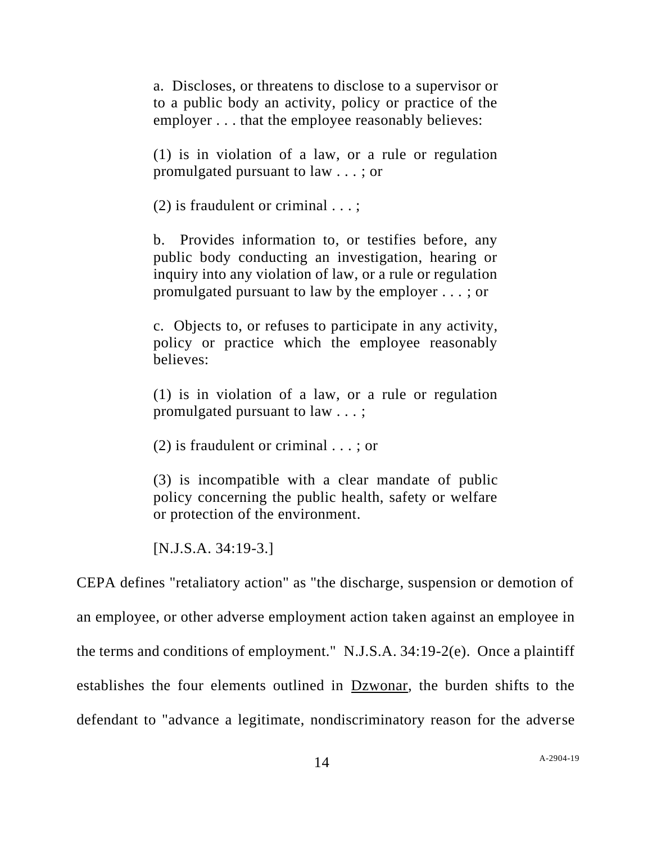a. Discloses, or threatens to disclose to a supervisor or to a public body an activity, policy or practice of the employer . . . that the employee reasonably believes:

(1) is in violation of a law, or a rule or regulation promulgated pursuant to law . . . ; or

(2) is fraudulent or criminal  $\dots$ ;

b. Provides information to, or testifies before, any public body conducting an investigation, hearing or inquiry into any violation of law, or a rule or regulation promulgated pursuant to law by the employer . . . ; or

c. Objects to, or refuses to participate in any activity, policy or practice which the employee reasonably believes:

(1) is in violation of a law, or a rule or regulation promulgated pursuant to law . . . ;

(2) is fraudulent or criminal . . . ; or

(3) is incompatible with a clear mandate of public policy concerning the public health, safety or welfare or protection of the environment.

[N.J.S.A. 34:19-3.]

CEPA defines "retaliatory action" as "the discharge, suspension or demotion of an employee, or other adverse employment action taken against an employee in the terms and conditions of employment." N.J.S.A. 34:19-2(e). Once a plaintiff establishes the four elements outlined in Dzwonar, the burden shifts to the defendant to "advance a legitimate, nondiscriminatory reason for the adverse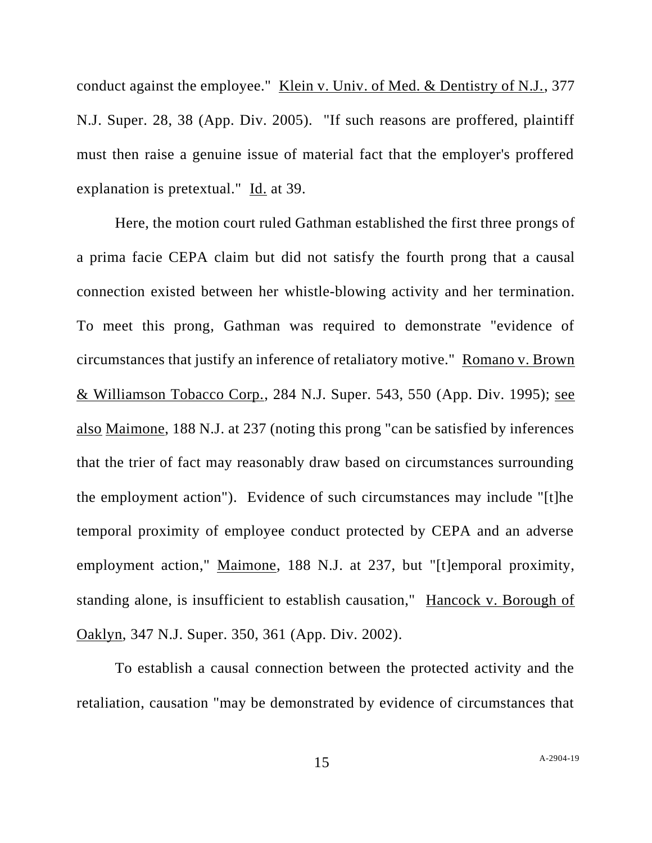conduct against the employee." Klein v. Univ. of Med. & Dentistry of N.J., 377 N.J. Super. 28, 38 (App. Div. 2005). "If such reasons are proffered, plaintiff must then raise a genuine issue of material fact that the employer's proffered explanation is pretextual." Id. at 39.

Here, the motion court ruled Gathman established the first three prongs of a prima facie CEPA claim but did not satisfy the fourth prong that a causal connection existed between her whistle-blowing activity and her termination. To meet this prong, Gathman was required to demonstrate "evidence of circumstances that justify an inference of retaliatory motive." Romano v. Brown & Williamson Tobacco Corp., 284 N.J. Super. 543, 550 (App. Div. 1995); see also Maimone, 188 N.J. at 237 (noting this prong "can be satisfied by inferences that the trier of fact may reasonably draw based on circumstances surrounding the employment action"). Evidence of such circumstances may include "[t]he temporal proximity of employee conduct protected by CEPA and an adverse employment action," Maimone, 188 N.J. at 237, but "[t]emporal proximity, standing alone, is insufficient to establish causation," Hancock v. Borough of Oaklyn, 347 N.J. Super. 350, 361 (App. Div. 2002).

To establish a causal connection between the protected activity and the retaliation, causation "may be demonstrated by evidence of circumstances that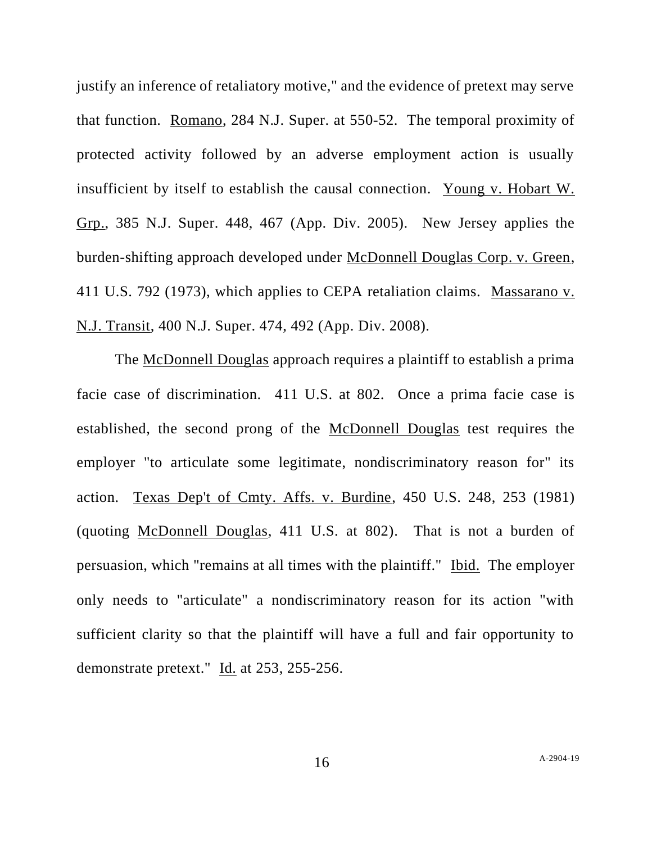justify an inference of retaliatory motive," and the evidence of pretext may serve that function. Romano, 284 N.J. Super. at 550-52. The temporal proximity of protected activity followed by an adverse employment action is usually insufficient by itself to establish the causal connection. Young v. Hobart W. Grp., 385 N.J. Super. 448, 467 (App. Div. 2005). New Jersey applies the burden-shifting approach developed under McDonnell Douglas Corp. v. Green, 411 U.S. 792 (1973), which applies to CEPA retaliation claims. Massarano v. N.J. Transit, 400 N.J. Super. 474, 492 (App. Div. 2008).

The McDonnell Douglas approach requires a plaintiff to establish a prima facie case of discrimination. 411 U.S. at 802. Once a prima facie case is established, the second prong of the McDonnell Douglas test requires the employer "to articulate some legitimate, nondiscriminatory reason for" its action. Texas Dep't of Cmty. Affs. v. Burdine, 450 U.S. 248, 253 (1981) (quoting McDonnell Douglas, 411 U.S. at 802). That is not a burden of persuasion, which "remains at all times with the plaintiff." Ibid. The employer only needs to "articulate" a nondiscriminatory reason for its action "with sufficient clarity so that the plaintiff will have a full and fair opportunity to demonstrate pretext." Id. at 253, 255-256.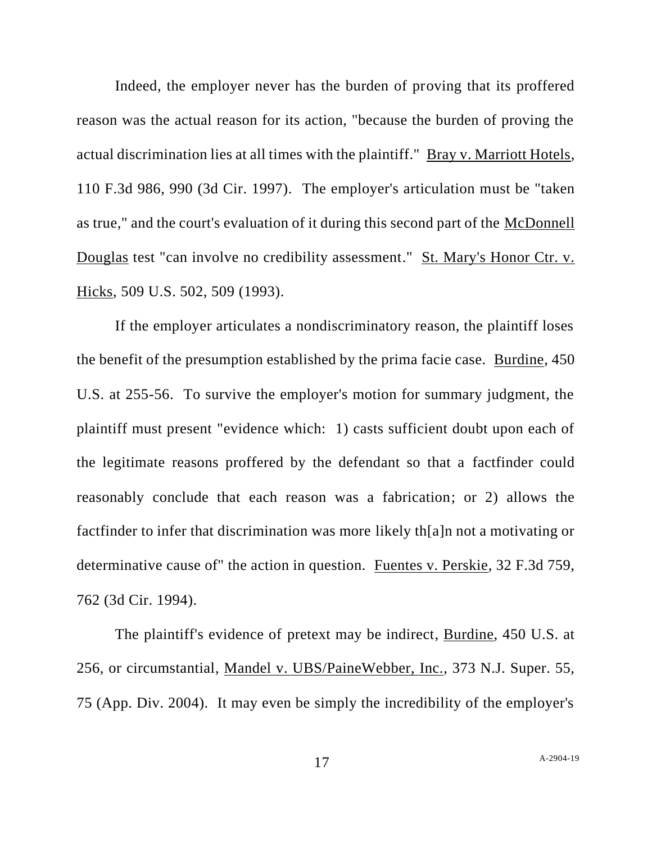Indeed, the employer never has the burden of proving that its proffered reason was the actual reason for its action, "because the burden of proving the actual discrimination lies at all times with the plaintiff." Bray v. Marriott Hotels, 110 F.3d 986, 990 (3d Cir. 1997). The employer's articulation must be "taken as true," and the court's evaluation of it during this second part of the McDonnell Douglas test "can involve no credibility assessment." St. Mary's Honor Ctr. v. Hicks, 509 U.S. 502, 509 (1993).

If the employer articulates a nondiscriminatory reason, the plaintiff loses the benefit of the presumption established by the prima facie case. Burdine, 450 U.S. at 255-56. To survive the employer's motion for summary judgment, the plaintiff must present "evidence which: 1) casts sufficient doubt upon each of the legitimate reasons proffered by the defendant so that a factfinder could reasonably conclude that each reason was a fabrication; or 2) allows the factfinder to infer that discrimination was more likely th[a]n not a motivating or determinative cause of" the action in question. Fuentes v. Perskie, 32 F.3d 759, 762 (3d Cir. 1994).

The plaintiff's evidence of pretext may be indirect, Burdine, 450 U.S. at 256, or circumstantial, Mandel v. UBS/PaineWebber, Inc., 373 N.J. Super. 55, 75 (App. Div. 2004). It may even be simply the incredibility of the employer's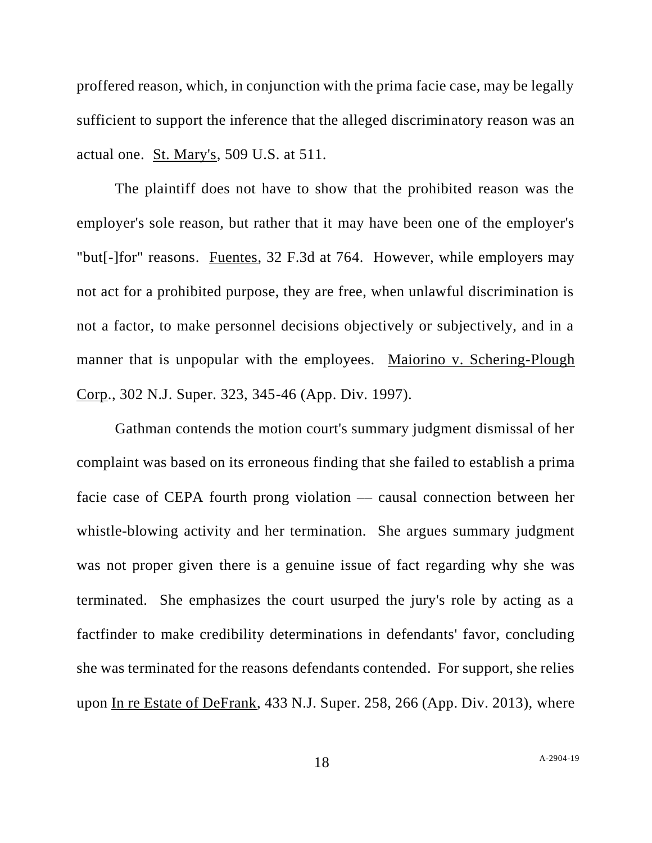proffered reason, which, in conjunction with the prima facie case, may be legally sufficient to support the inference that the alleged discriminatory reason was an actual one. St. Mary's, 509 U.S. at 511.

The plaintiff does not have to show that the prohibited reason was the employer's sole reason, but rather that it may have been one of the employer's "but[-]for" reasons. Fuentes, 32 F.3d at 764. However, while employers may not act for a prohibited purpose, they are free, when unlawful discrimination is not a factor, to make personnel decisions objectively or subjectively, and in a manner that is unpopular with the employees. Maiorino v. Schering-Plough Corp., 302 N.J. Super. 323, 345-46 (App. Div. 1997).

Gathman contends the motion court's summary judgment dismissal of her complaint was based on its erroneous finding that she failed to establish a prima facie case of CEPA fourth prong violation — causal connection between her whistle-blowing activity and her termination. She argues summary judgment was not proper given there is a genuine issue of fact regarding why she was terminated. She emphasizes the court usurped the jury's role by acting as a factfinder to make credibility determinations in defendants' favor, concluding she was terminated for the reasons defendants contended. For support, she relies upon In re Estate of DeFrank, 433 N.J. Super. 258, 266 (App. Div. 2013), where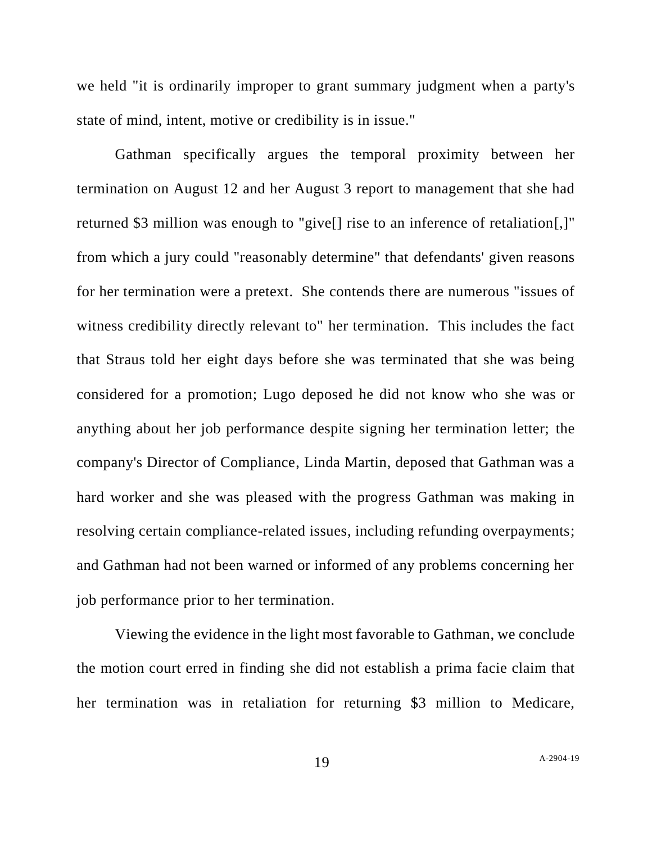we held "it is ordinarily improper to grant summary judgment when a party's state of mind, intent, motive or credibility is in issue."

Gathman specifically argues the temporal proximity between her termination on August 12 and her August 3 report to management that she had returned \$3 million was enough to "give[] rise to an inference of retaliation[,]" from which a jury could "reasonably determine" that defendants' given reasons for her termination were a pretext. She contends there are numerous "issues of witness credibility directly relevant to" her termination. This includes the fact that Straus told her eight days before she was terminated that she was being considered for a promotion; Lugo deposed he did not know who she was or anything about her job performance despite signing her termination letter; the company's Director of Compliance, Linda Martin, deposed that Gathman was a hard worker and she was pleased with the progress Gathman was making in resolving certain compliance-related issues, including refunding overpayments; and Gathman had not been warned or informed of any problems concerning her job performance prior to her termination.

Viewing the evidence in the light most favorable to Gathman, we conclude the motion court erred in finding she did not establish a prima facie claim that her termination was in retaliation for returning \$3 million to Medicare,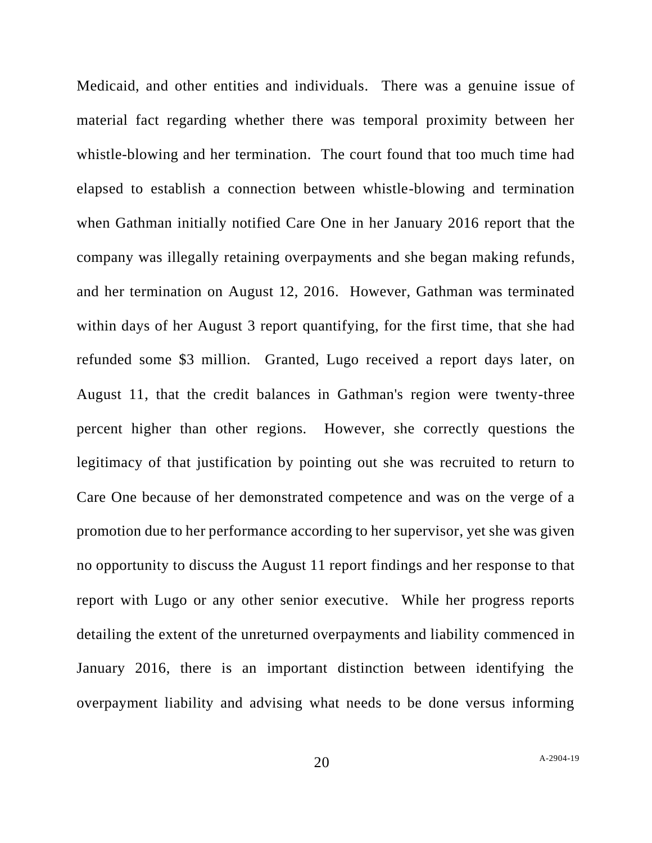Medicaid, and other entities and individuals. There was a genuine issue of material fact regarding whether there was temporal proximity between her whistle-blowing and her termination. The court found that too much time had elapsed to establish a connection between whistle-blowing and termination when Gathman initially notified Care One in her January 2016 report that the company was illegally retaining overpayments and she began making refunds, and her termination on August 12, 2016. However, Gathman was terminated within days of her August 3 report quantifying, for the first time, that she had refunded some \$3 million. Granted, Lugo received a report days later, on August 11, that the credit balances in Gathman's region were twenty-three percent higher than other regions. However, she correctly questions the legitimacy of that justification by pointing out she was recruited to return to Care One because of her demonstrated competence and was on the verge of a promotion due to her performance according to her supervisor, yet she was given no opportunity to discuss the August 11 report findings and her response to that report with Lugo or any other senior executive. While her progress reports detailing the extent of the unreturned overpayments and liability commenced in January 2016, there is an important distinction between identifying the overpayment liability and advising what needs to be done versus informing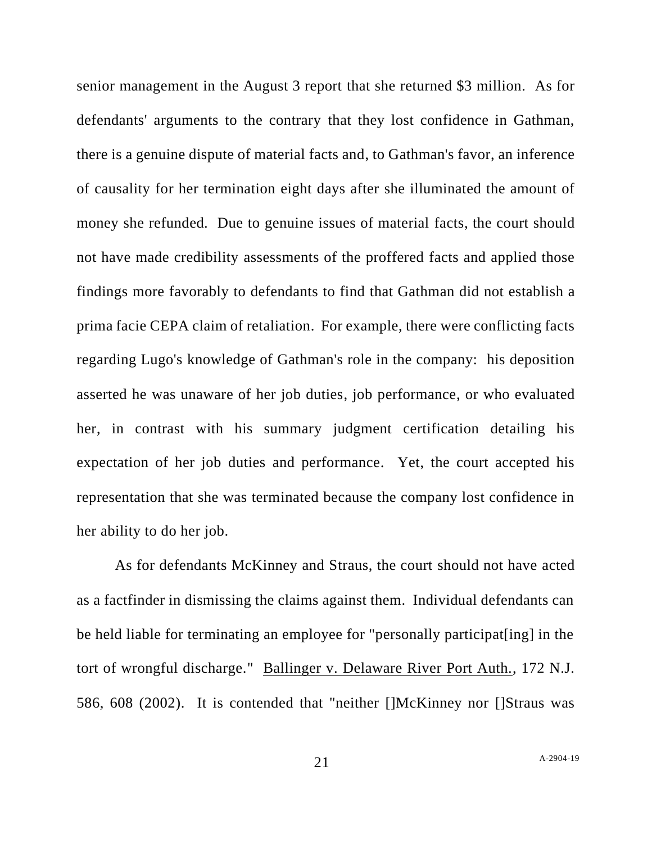senior management in the August 3 report that she returned \$3 million. As for defendants' arguments to the contrary that they lost confidence in Gathman, there is a genuine dispute of material facts and, to Gathman's favor, an inference of causality for her termination eight days after she illuminated the amount of money she refunded. Due to genuine issues of material facts, the court should not have made credibility assessments of the proffered facts and applied those findings more favorably to defendants to find that Gathman did not establish a prima facie CEPA claim of retaliation. For example, there were conflicting facts regarding Lugo's knowledge of Gathman's role in the company: his deposition asserted he was unaware of her job duties, job performance, or who evaluated her, in contrast with his summary judgment certification detailing his expectation of her job duties and performance. Yet, the court accepted his representation that she was terminated because the company lost confidence in her ability to do her job.

As for defendants McKinney and Straus, the court should not have acted as a factfinder in dismissing the claims against them. Individual defendants can be held liable for terminating an employee for "personally participat[ing] in the tort of wrongful discharge." Ballinger v. Delaware River Port Auth., 172 N.J. 586, 608 (2002). It is contended that "neither []McKinney nor []Straus was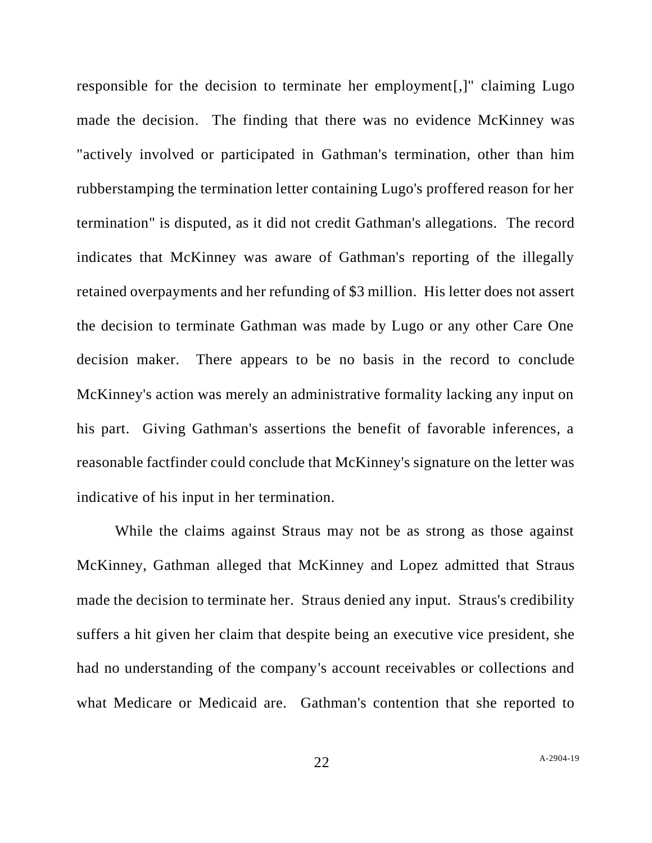responsible for the decision to terminate her employment[,]" claiming Lugo made the decision. The finding that there was no evidence McKinney was "actively involved or participated in Gathman's termination, other than him rubberstamping the termination letter containing Lugo's proffered reason for her termination" is disputed, as it did not credit Gathman's allegations. The record indicates that McKinney was aware of Gathman's reporting of the illegally retained overpayments and her refunding of \$3 million. His letter does not assert the decision to terminate Gathman was made by Lugo or any other Care One decision maker. There appears to be no basis in the record to conclude McKinney's action was merely an administrative formality lacking any input on his part. Giving Gathman's assertions the benefit of favorable inferences, a reasonable factfinder could conclude that McKinney's signature on the letter was indicative of his input in her termination.

While the claims against Straus may not be as strong as those against McKinney, Gathman alleged that McKinney and Lopez admitted that Straus made the decision to terminate her. Straus denied any input. Straus's credibility suffers a hit given her claim that despite being an executive vice president, she had no understanding of the company's account receivables or collections and what Medicare or Medicaid are. Gathman's contention that she reported to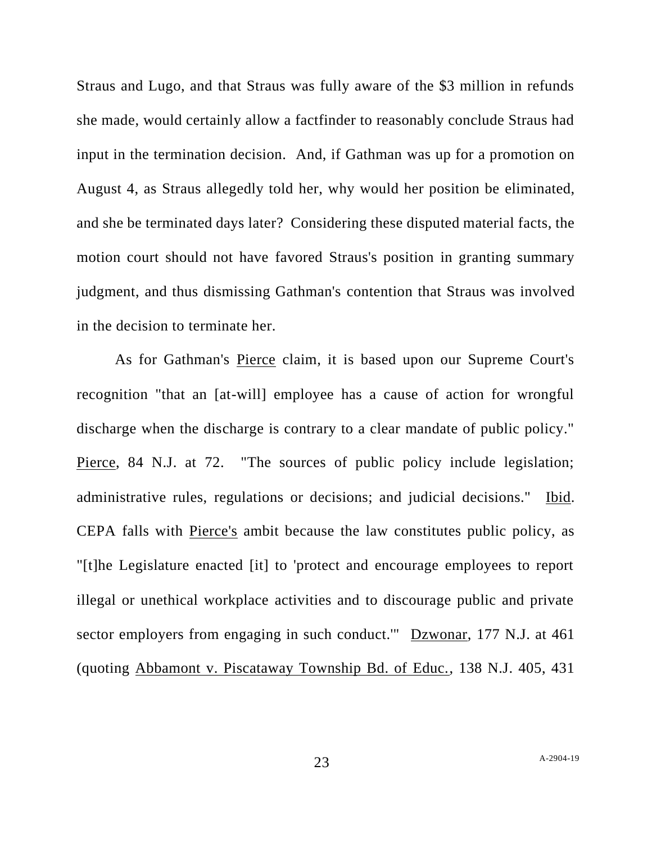Straus and Lugo, and that Straus was fully aware of the \$3 million in refunds she made, would certainly allow a factfinder to reasonably conclude Straus had input in the termination decision. And, if Gathman was up for a promotion on August 4, as Straus allegedly told her, why would her position be eliminated, and she be terminated days later? Considering these disputed material facts, the motion court should not have favored Straus's position in granting summary judgment, and thus dismissing Gathman's contention that Straus was involved in the decision to terminate her.

As for Gathman's Pierce claim, it is based upon our Supreme Court's recognition "that an [at-will] employee has a cause of action for wrongful discharge when the discharge is contrary to a clear mandate of public policy." Pierce, 84 N.J. at 72. "The sources of public policy include legislation; administrative rules, regulations or decisions; and judicial decisions." Ibid. CEPA falls with Pierce's ambit because the law constitutes public policy, as "[t]he Legislature enacted [it] to 'protect and encourage employees to report illegal or unethical workplace activities and to discourage public and private sector employers from engaging in such conduct.'" Dzwonar, 177 N.J. at 461 (quoting Abbamont v. Piscataway Township Bd. of Educ., 138 N.J. 405, 431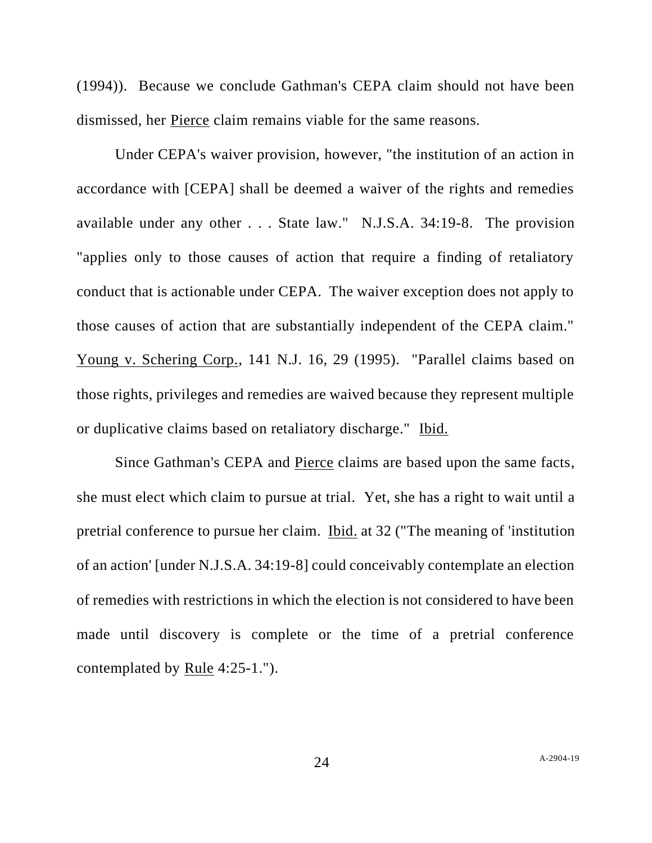(1994)). Because we conclude Gathman's CEPA claim should not have been dismissed, her Pierce claim remains viable for the same reasons.

Under CEPA's waiver provision, however, "the institution of an action in accordance with [CEPA] shall be deemed a waiver of the rights and remedies available under any other . . . State law." N.J.S.A. 34:19-8. The provision "applies only to those causes of action that require a finding of retaliatory conduct that is actionable under CEPA. The waiver exception does not apply to those causes of action that are substantially independent of the CEPA claim." Young v. Schering Corp., 141 N.J. 16, 29 (1995). "Parallel claims based on those rights, privileges and remedies are waived because they represent multiple or duplicative claims based on retaliatory discharge." Ibid.

Since Gathman's CEPA and Pierce claims are based upon the same facts, she must elect which claim to pursue at trial. Yet, she has a right to wait until a pretrial conference to pursue her claim. Ibid. at 32 ("The meaning of 'institution of an action' [under N.J.S.A. 34:19-8] could conceivably contemplate an election of remedies with restrictions in which the election is not considered to have been made until discovery is complete or the time of a pretrial conference contemplated by Rule 4:25-1.").